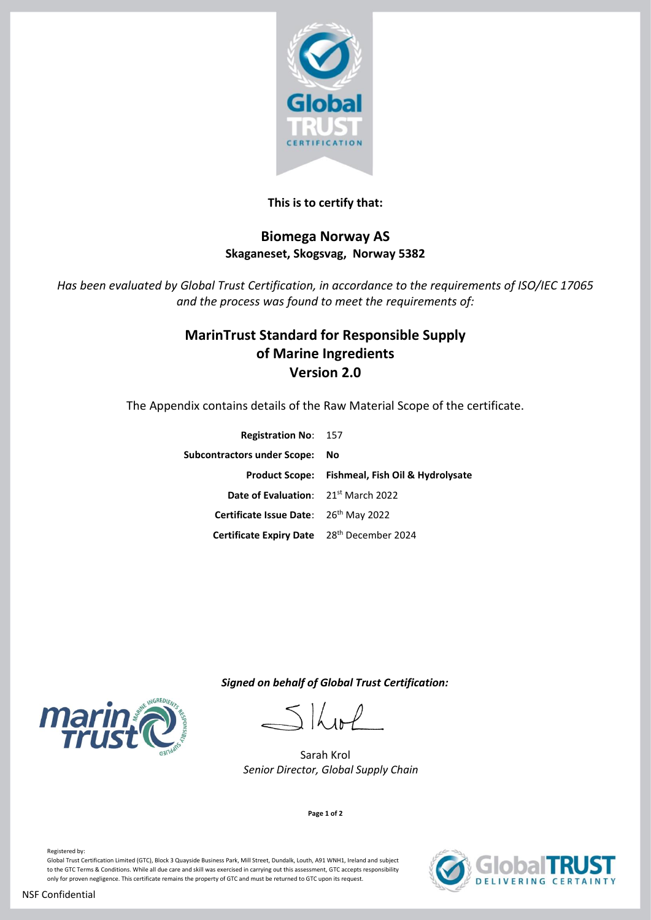

## **This is to certify that:**

## **Biomega Norway AS Skaganeset, Skogsvag, Norway 5382**

*Has been evaluated by Global Trust Certification, in accordance to the requirements of ISO/IEC 17065 and the process was found to meet the requirements of:*

# **MarinTrust Standard for Responsible Supply of Marine Ingredients Version 2.0**

The Appendix contains details of the Raw Material Scope of the certificate.

| <b>Registration No: 157</b>                            |                                                 |
|--------------------------------------------------------|-------------------------------------------------|
| Subcontractors under Scope: No                         |                                                 |
|                                                        | Product Scope: Fishmeal, Fish Oil & Hydrolysate |
| <b>Date of Evaluation:</b> 21 <sup>st</sup> March 2022 |                                                 |
| Certificate Issue Date: 26th May 2022                  |                                                 |
| Certificate Expiry Date 28th December 2024             |                                                 |

 *Signed on behalf of Global Trust Certification:*

 $516$  in P

Sarah Krol  *Senior Director, Global Supply Chain* 

**Page 1 of 2**



**VERING CERTAINTY** 

Registered by:

Global Trust Certification Limited (GTC), Block 3 Quayside Business Park, Mill Street, Dundalk, Louth, A91 WNH1, Ireland and subject to the GTC Terms & Conditions. While all due care and skill was exercised in carrying out this assessment, GTC accepts responsibility only for proven negligence. This certificate remains the property of GTC and must be returned to GTC upon its request.